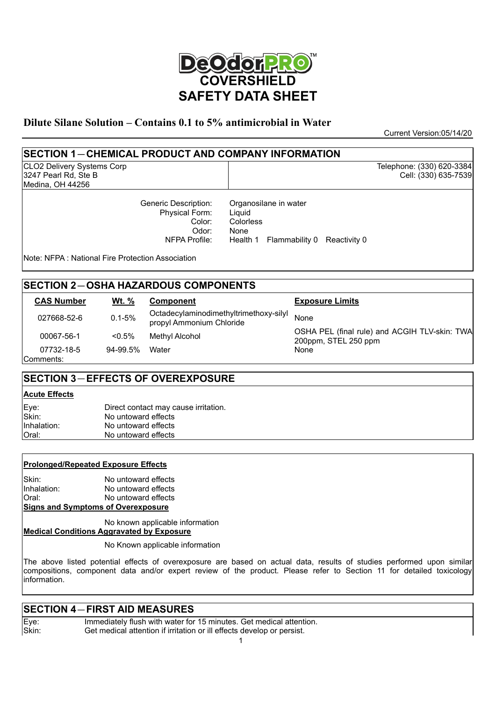

#### **Dilute Silane Solution – Contains 0.1 to 5% antimicrobial in Water**

Current Version:05/14/20

Telephone: (330) 620-3384 Cell: (330) 635-7539

# **SECTION 1**-**CHEMICAL PRODUCT AND COMPANY INFORMATION**

CLO2 Delivery Systems Corp 3247 Pearl Rd, Ste B Medina, OH 44256

> Generic Description: Physical Form: Color: Odor: NFPA Profile:

Organosilane in water Liquid Colorless None Health 1 Flammability 0 Reactivity 0

Note: NFPA : National Fire Protection Association

# **SECTION 2**-**OSHA HAZARDOUS COMPONENTS**

| <b>CAS Number</b> | <u>Wt. %</u> | Component                                                          | <b>Exposure Limits</b>                                                |
|-------------------|--------------|--------------------------------------------------------------------|-----------------------------------------------------------------------|
| 027668-52-6       | $0.1 - 5%$   | Octadecylaminodimethyltrimethoxy-silyl<br>propyl Ammonium Chloride | None                                                                  |
| 00067-56-1        | $< 0.5\%$    | Methyl Alcohol                                                     | OSHA PEL (final rule) and ACGIH TLV-skin: TWA<br>200ppm, STEL 250 ppm |
| 07732-18-5        | 94-99.5%     | Water                                                              | None                                                                  |
| Comments:         |              |                                                                    |                                                                       |

# **SECTION 3**-**EFFECTS OF OVEREXPOSURE**

#### **Acute Effects**

| Eye:<br>Skin: | Direct contact may cause irritation. |
|---------------|--------------------------------------|
|               | No untoward effects                  |
| IInhalation:  | No untoward effects                  |
| Oral:         | No untoward effects                  |

#### **Prolonged/Repeated Exposure Effects**

Skin: No untoward effects<br>
Inhalation: No untoward effects No untoward effects Oral: No untoward effects **Signs and Symptoms of Overexposure**

No known applicable information

#### **Medical Conditions Aggravated by Exposure**

No Known applicable information

The above listed potential effects of overexposure are based on actual data, results of studies performed upon similar compositions, component data and/or expert review of the product. Please refer to Section 11 for detailed toxicology information.

#### **SECTION 4**-**FIRST AID MEASURES**

Eye: Immediately flush with water for 15 minutes. Get medical attention.<br>Skin: Get medical attention if irritation or ill effects develop or persist. Get medical attention if irritation or ill effects develop or persist.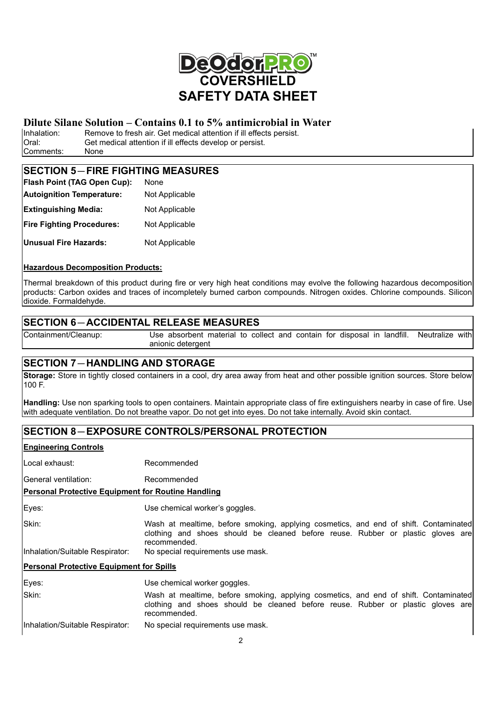

# **Dilute Silane Solution – Contains 0.1 to 5% antimicrobial in Water**<br>Inhalation: Remove to fresh air. Get medical attention if ill effects persist.

Inhalation: Remove to fresh air. Get medical attention if ill effects persist.<br>Oral: Get medical attention if ill effects develop or persist. Get medical attention if ill effects develop or persist. Comments: None

# **SECTION 5-FIRE FIGHTING MEASURES**

| Flash Point (TAG Open Cup):      | None           |  |
|----------------------------------|----------------|--|
| <b>Autoignition Temperature:</b> | Not Applicable |  |
| <b>Extinguishing Media:</b>      | Not Applicable |  |
| <b>Fire Fighting Procedures:</b> | Not Applicable |  |
| <b>Unusual Fire Hazards:</b>     | Not Applicable |  |

#### **Hazardous Decomposition Products:**

Thermal breakdown of this product during fire or very high heat conditions may evolve the following hazardous decomposition products: Carbon oxides and traces of incompletely burned carbon compounds. Nitrogen oxides. Chlorine compounds. Silicon dioxide. Formaldehyde.

# **SECTION 6**-**ACCIDENTAL RELEASE MEASURES**

Containment/Cleanup: Use absorbent material to collect and contain for disposal in landfill. Neutralize with anionic detergent

# **SECTION 7**-**HANDLING AND STORAGE**

**Storage:** Store in tightly closed containers in a cool, dry area away from heat and other possible ignition sources. Store below 100 F.

**Handling:** Use non sparking tools to open containers. Maintain appropriate class of fire extinguishers nearby in case of fire. Use with adequate ventilation. Do not breathe vapor. Do not get into eyes. Do not take internally. Avoid skin contact.

# **SECTION 8**-**EXPOSURE CONTROLS/PERSONAL PROTECTION**

#### **Engineering Controls**

Local exhaust: Recommended General ventilation: Recommended **Personal Protective Equipment for Routine Handling** Eyes: Use chemical worker's goggles. Skin: Wash at mealtime, before smoking, applying cosmetics, and end of shift. Contaminated clothing and shoes should be cleaned before reuse. Rubber or plastic gloves are recommended. Inhalation/Suitable Respirator: No special requirements use mask. **Personal Protective Equipment for Spills** Eyes: Use chemical worker goggles. Skin: Wash at mealtime, before smoking, applying cosmetics, and end of shift. Contaminated clothing and shoes should be cleaned before reuse. Rubber or plastic gloves are recommended. Inhalation/Suitable Respirator: No special requirements use mask.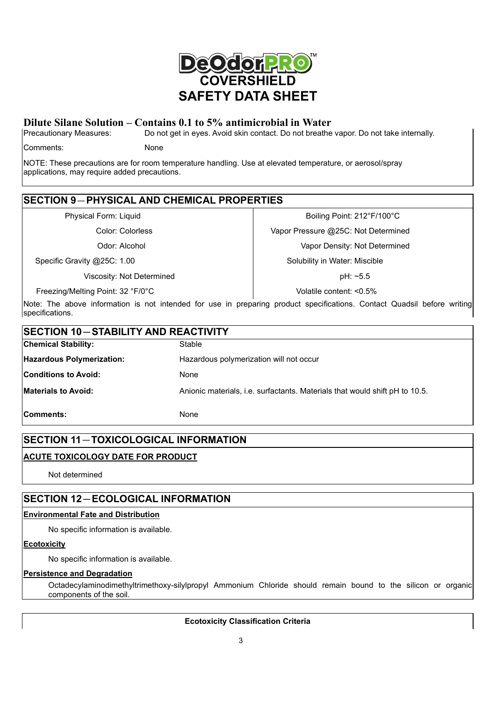

# **Dilute Silane Solution – Contains 0.1 to 5% antimicrobial in Water**<br>|Precautionary Measures: Do not get in eyes. Avoid skin contact. Do not breathe

Do not get in eyes. Avoid skin contact. Do not breathe vapor. Do not take internally.

Comments: None

NOTE: These precautions are for room temperature handling. Use at elevated temperature, or aerosol/spray applications, may require added precautions.

# **SECTION 9**-**PHYSICAL AND CHEMICAL PROPERTIES**

Specific Gravity @25C: 1.00 Specific Gravity @25C: 1.00

Viscosity: Not Determined and pH: ~5.5

Freezing/Melting Point: 32 °F/0°C Volatile content: <0.5%

Physical Form: Liquid **Boiling Point: 212°F/100°C** Boiling Point: 212°F/100°C

Color: Colorless Vapor Pressure @25C: Not Determined

Odor: Alcohol Vapor Density: Not Determined

Note: The above information is not intended for use in preparing product specifications. Contact Quadsil before writing specifications.

| <b>SECTION 10-STABILITY AND REACTIVITY</b>                                                                |                                         |  |
|-----------------------------------------------------------------------------------------------------------|-----------------------------------------|--|
| <b>Chemical Stability:</b>                                                                                | Stable                                  |  |
| <b>Hazardous Polymerization:</b>                                                                          | Hazardous polymerization will not occur |  |
| <b>Conditions to Avoid:</b>                                                                               | None                                    |  |
| <b>Materials to Avoid:</b><br>Anionic materials, i.e. surfactants. Materials that would shift pH to 10.5. |                                         |  |
| Comments:                                                                                                 | None                                    |  |

# **SECTION 11**-**TOXICOLOGICAL INFORMATION**

# **ACUTE TOXICOLOGY DATE FOR PRODUCT**

Not determined

# **SECTION 12**-**ECOLOGICAL INFORMATION**

#### **Environmental Fate and Distribution**

No specific information is available.

#### **Ecotoxicity**

No specific information is available.

#### **Persistence and Degradation**

Octadecylaminodimethyltrimethoxy-silylpropyl Ammonium Chloride should remain bound to the silicon or organic components of the soil.

#### **Ecotoxicity Classification Criteria**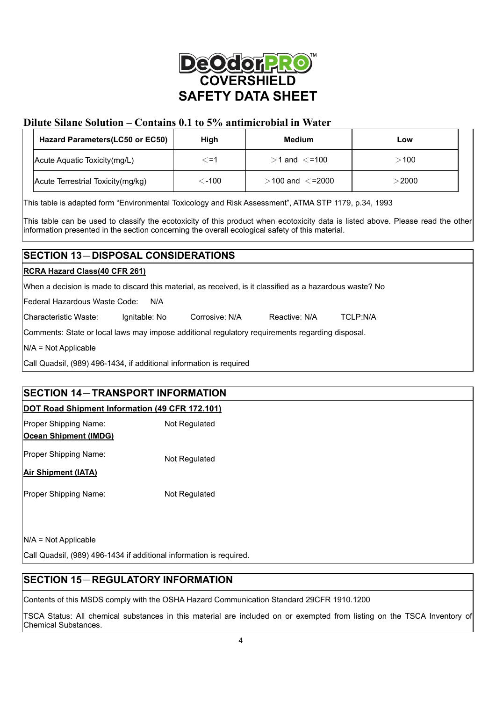

# **Dilute Silane Solution – Contains 0.1 to 5% antimicrobial in Water**

| Hazard Parameters (LC50 or EC50)  | High   | Medium                | Low           |
|-----------------------------------|--------|-----------------------|---------------|
| Acute Aquatic Toxicity (mg/L)     | <=1    | $>$ 1 and $\lt$ =100  | $-100$        |
| Acute Terrestrial Toxicity(mg/kg) | . -100 | $>$ 100 and $<$ =2000 | $>$ 2000 $\,$ |

This table is adapted form "Environmental Toxicology and Risk Assessment", ATMA STP 1179, p.34, 1993

This table can be used to classify the ecotoxicity of this product when ecotoxicity data is listed above. Please read the other information presented in the section concerning the overall ecological safety of this material.

# **SECTION 13**-**DISPOSAL CONSIDERATIONS**

#### **RCRA Hazard Class(40 CFR 261)**

When a decision is made to discard this material, as received, is it classified as a hazardous waste? No

Federal Hazardous Waste Code: N/A

Characteristic Waste: Ignitable: No Corrosive: N/A Reactive: N/A TCLP:N/A

Comments: State or local laws may impose additional regulatory requirements regarding disposal.

N/A = Not Applicable

Call Quadsil, (989) 496-1434, if additional information is required

# **SECTION 14**-**TRANSPORT INFORMATION**

#### **DOT Road Shipment Information (49 CFR 172.101)**

| Proper Shipping Name:        | Not Regulated |
|------------------------------|---------------|
| <b>Ocean Shipment (IMDG)</b> |               |
| Proper Shipping Name:        | Not Regulated |
| <b>Air Shipment (IATA)</b>   |               |
| <b>Proper Shipping Name:</b> | Not Regulated |

N/A = Not Applicable

Call Quadsil, (989) 496-1434 if additional information is required.

# **SECTION 15**-**REGULATORY INFORMATION**

Contents of this MSDS comply with the OSHA Hazard Communication Standard 29CFR 1910.1200

TSCA Status: All chemical substances in this material are included on or exempted from listing on the TSCA Inventory of Chemical Substances.